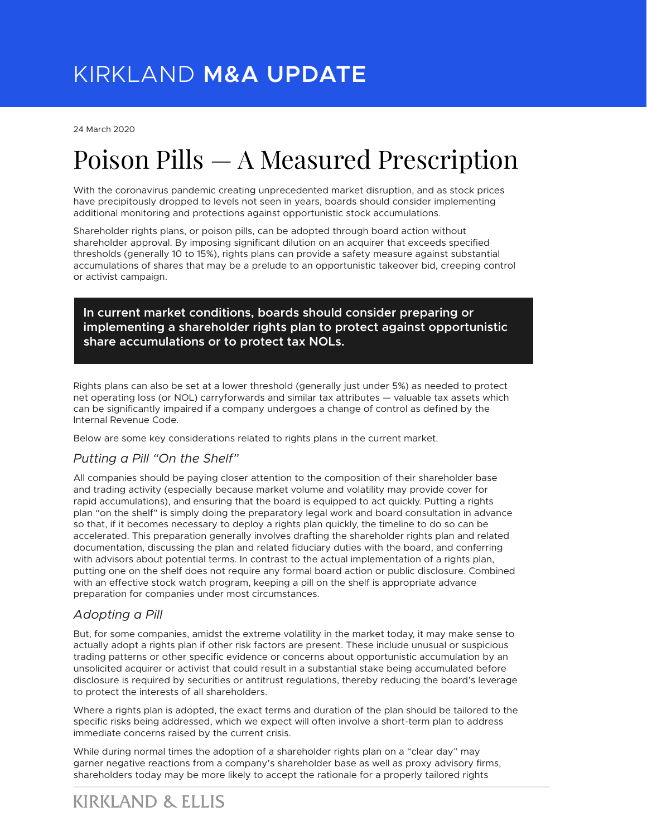24 March 2020

# Poison Pills — A Measured Prescription

With the coronavirus pandemic creating unprecedented market disruption, and as stock prices have precipitously dropped to levels not seen in years, boards should consider implementing additional monitoring and protections against opportunistic stock accumulations.

Shareholder rights plans, or poison pills, can be adopted through board action without shareholder approval. By imposing significant dilution on an acquirer that exceeds specified thresholds (generally 10 to 15%), rights plans can provide a safety measure against substantial accumulations of shares that may be a prelude to an opportunistic takeover bid, creeping control or activist campaign.

**In current market conditions, boards should consider preparing or implementing a shareholder rights plan to protect against opportunistic share accumulations or to protect tax NOLs.**

Rights plans can also be set at a lower threshold (generally just under 5%) as needed to protect net operating loss (or NOL) carryforwards and similar tax attributes — valuable tax assets which can be significantly impaired if a company undergoes a change of control as defined by the Internal Revenue Code.

Below are some key considerations related to rights plans in the current market.

### *Putting a Pill "On the Shelf"*

All companies should be paying closer attention to the composition of their shareholder base and trading activity (especially because market volume and volatility may provide cover for rapid accumulations), and ensuring that the board is equipped to act quickly. Putting a rights plan "on the shelf" is simply doing the preparatory legal work and board consultation in advance so that, if it becomes necessary to deploy a rights plan quickly, the timeline to do so can be accelerated. This preparation generally involves drafting the shareholder rights plan and related documentation, discussing the plan and related fiduciary duties with the board, and conferring with advisors about potential terms. In contrast to the actual implementation of a rights plan, putting one on the shelf does not require any formal board action or public disclosure. Combined with an effective stock watch program, keeping a pill on the shelf is appropriate advance preparation for companies under most circumstances.

## *Adopting a Pill*

But, for some companies, amidst the extreme volatility in the market today, it may make sense to actually adopt a rights plan if other risk factors are present. These include unusual or suspicious trading patterns or other specific evidence or concerns about opportunistic accumulation by an unsolicited acquirer or activist that could result in a substantial stake being accumulated before disclosure is required by securities or antitrust regulations, thereby reducing the board's leverage to protect the interests of all shareholders.

Where a rights plan is adopted, the exact terms and duration of the plan should be tailored to the specific risks being addressed, which we expect will often involve a short-term plan to address immediate concerns raised by the current crisis.

While during normal times the adoption of a shareholder rights plan on a "clear day" may garner negative reactions from a company's shareholder base as well as proxy advisory firms, shareholders today may be more likely to accept the rationale for a properly tailored rights